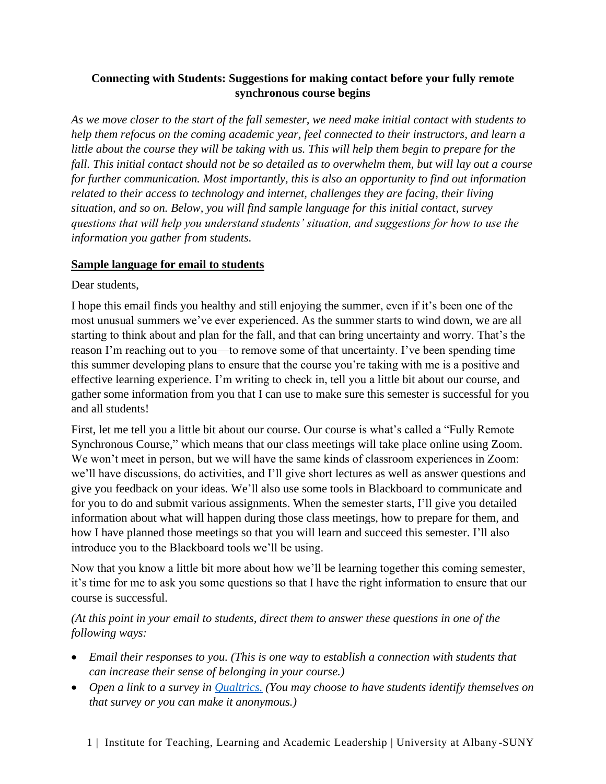## **Connecting with Students: Suggestions for making contact before your fully remote synchronous course begins**

*As we move closer to the start of the fall semester, we need make initial contact with students to help them refocus on the coming academic year, feel connected to their instructors, and learn a little about the course they will be taking with us. This will help them begin to prepare for the fall. This initial contact should not be so detailed as to overwhelm them, but will lay out a course for further communication. Most importantly, this is also an opportunity to find out information related to their access to technology and internet, challenges they are facing, their living situation, and so on. Below, you will find sample language for this initial contact, survey questions that will help you understand students' situation, and suggestions for how to use the information you gather from students.*

## **Sample language for email to students**

Dear students.

I hope this email finds you healthy and still enjoying the summer, even if it's been one of the most unusual summers we've ever experienced. As the summer starts to wind down, we are all starting to think about and plan for the fall, and that can bring uncertainty and worry. That's the reason I'm reaching out to you—to remove some of that uncertainty. I've been spending time this summer developing plans to ensure that the course you're taking with me is a positive and effective learning experience. I'm writing to check in, tell you a little bit about our course, and gather some information from you that I can use to make sure this semester is successful for you and all students!

First, let me tell you a little bit about our course. Our course is what's called a "Fully Remote Synchronous Course," which means that our class meetings will take place online using Zoom. We won't meet in person, but we will have the same kinds of classroom experiences in Zoom: we'll have discussions, do activities, and I'll give short lectures as well as answer questions and give you feedback on your ideas. We'll also use some tools in Blackboard to communicate and for you to do and submit various assignments. When the semester starts, I'll give you detailed information about what will happen during those class meetings, how to prepare for them, and how I have planned those meetings so that you will learn and succeed this semester. I'll also introduce you to the Blackboard tools we'll be using.

Now that you know a little bit more about how we'll be learning together this coming semester, it's time for me to ask you some questions so that I have the right information to ensure that our course is successful.

*(At this point in your email to students, direct them to answer these questions in one of the following ways:*

- *Email their responses to you. (This is one way to establish a connection with students that can increase their sense of belonging in your course.)*
- *Open a link to a survey in [Qualtrics.](https://wiki.albany.edu/display/qualtrics/Qualtrics+Home) (You may choose to have students identify themselves on that survey or you can make it anonymous.)*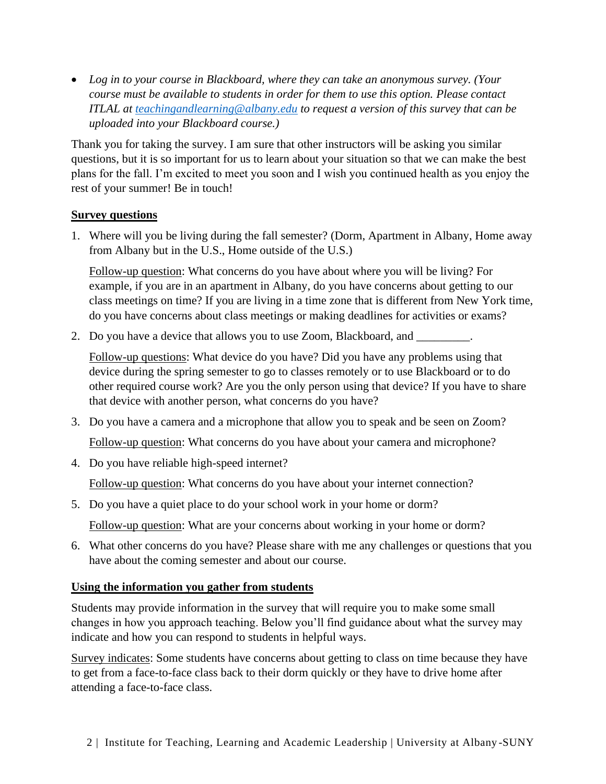• *Log in to your course in Blackboard, where they can take an anonymous survey. (Your course must be available to students in order for them to use this option. Please contact ITLAL at [teachingandlearning@albany.edu](mailto:teachingandlearning@albany.edu) to request a version of this survey that can be uploaded into your Blackboard course.)*

Thank you for taking the survey. I am sure that other instructors will be asking you similar questions, but it is so important for us to learn about your situation so that we can make the best plans for the fall. I'm excited to meet you soon and I wish you continued health as you enjoy the rest of your summer! Be in touch!

## **Survey questions**

1. Where will you be living during the fall semester? (Dorm, Apartment in Albany, Home away from Albany but in the U.S., Home outside of the U.S.)

Follow-up question: What concerns do you have about where you will be living? For example, if you are in an apartment in Albany, do you have concerns about getting to our class meetings on time? If you are living in a time zone that is different from New York time, do you have concerns about class meetings or making deadlines for activities or exams?

2. Do you have a device that allows you to use Zoom, Blackboard, and

Follow-up questions: What device do you have? Did you have any problems using that device during the spring semester to go to classes remotely or to use Blackboard or to do other required course work? Are you the only person using that device? If you have to share that device with another person, what concerns do you have?

3. Do you have a camera and a microphone that allow you to speak and be seen on Zoom?

Follow-up question: What concerns do you have about your camera and microphone?

4. Do you have reliable high-speed internet?

Follow-up question: What concerns do you have about your internet connection?

- 5. Do you have a quiet place to do your school work in your home or dorm? Follow-up question: What are your concerns about working in your home or dorm?
- 6. What other concerns do you have? Please share with me any challenges or questions that you have about the coming semester and about our course.

## **Using the information you gather from students**

Students may provide information in the survey that will require you to make some small changes in how you approach teaching. Below you'll find guidance about what the survey may indicate and how you can respond to students in helpful ways.

Survey indicates: Some students have concerns about getting to class on time because they have to get from a face-to-face class back to their dorm quickly or they have to drive home after attending a face-to-face class.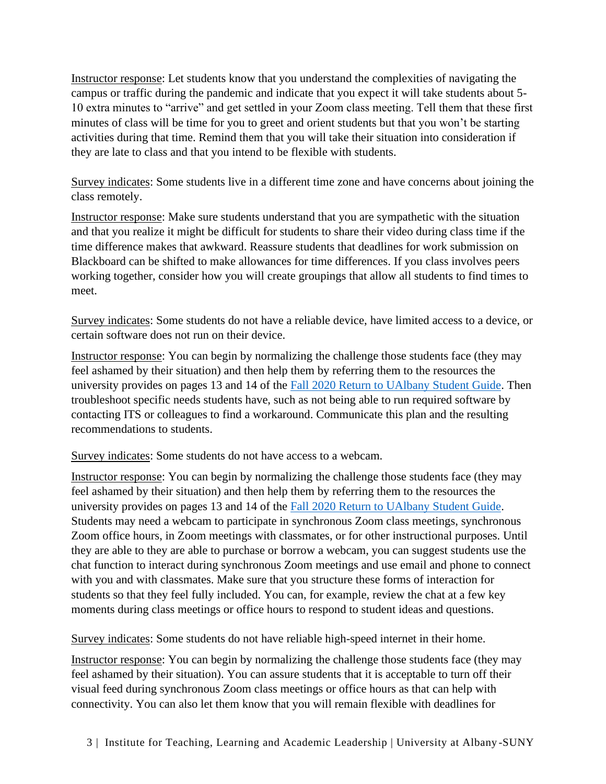Instructor response: Let students know that you understand the complexities of navigating the campus or traffic during the pandemic and indicate that you expect it will take students about 5- 10 extra minutes to "arrive" and get settled in your Zoom class meeting. Tell them that these first minutes of class will be time for you to greet and orient students but that you won't be starting activities during that time. Remind them that you will take their situation into consideration if they are late to class and that you intend to be flexible with students.

Survey indicates: Some students live in a different time zone and have concerns about joining the class remotely.

Instructor response: Make sure students understand that you are sympathetic with the situation and that you realize it might be difficult for students to share their video during class time if the time difference makes that awkward. Reassure students that deadlines for work submission on Blackboard can be shifted to make allowances for time differences. If you class involves peers working together, consider how you will create groupings that allow all students to find times to meet.

Survey indicates: Some students do not have a reliable device, have limited access to a device, or certain software does not run on their device.

Instructor response: You can begin by normalizing the challenge those students face (they may feel ashamed by their situation) and then help them by referring them to the resources the university provides on pages 13 and 14 of the [Fall 2020 Return to UAlbany Student Guide.](http://albany.edu/covid-19/student-guide.pdf) Then troubleshoot specific needs students have, such as not being able to run required software by contacting ITS or colleagues to find a workaround. Communicate this plan and the resulting recommendations to students.

Survey indicates: Some students do not have access to a webcam.

Instructor response: You can begin by normalizing the challenge those students face (they may feel ashamed by their situation) and then help them by referring them to the resources the university provides on pages 13 and 14 of the [Fall 2020 Return to UAlbany Student Guide.](http://albany.edu/covid-19/student-guide.pdf) Students may need a webcam to participate in synchronous Zoom class meetings, synchronous Zoom office hours, in Zoom meetings with classmates, or for other instructional purposes. Until they are able to they are able to purchase or borrow a webcam, you can suggest students use the chat function to interact during synchronous Zoom meetings and use email and phone to connect with you and with classmates. Make sure that you structure these forms of interaction for students so that they feel fully included. You can, for example, review the chat at a few key moments during class meetings or office hours to respond to student ideas and questions.

Survey indicates: Some students do not have reliable high-speed internet in their home.

Instructor response: You can begin by normalizing the challenge those students face (they may feel ashamed by their situation). You can assure students that it is acceptable to turn off their visual feed during synchronous Zoom class meetings or office hours as that can help with connectivity. You can also let them know that you will remain flexible with deadlines for